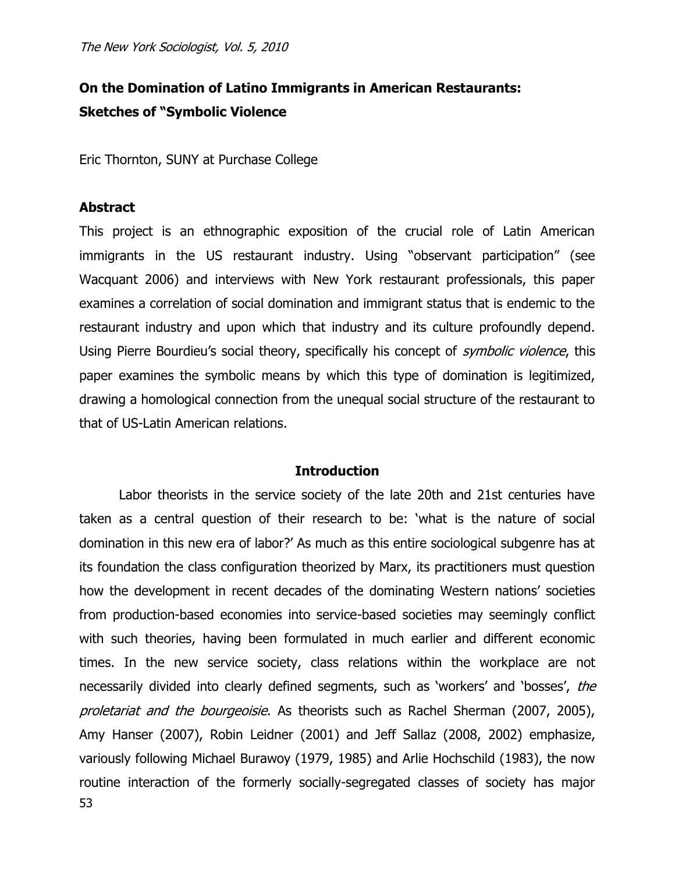# **On the Domination of Latino Immigrants in American Restaurants: Sketches of "Symbolic Violence**

Eric Thornton, SUNY at Purchase College

# **Abstract**

This project is an ethnographic exposition of the crucial role of Latin American immigrants in the US restaurant industry. Using "observant participation" (see Wacquant 2006) and interviews with New York restaurant professionals, this paper examines a correlation of social domination and immigrant status that is endemic to the restaurant industry and upon which that industry and its culture profoundly depend. Using Pierre Bourdieu's social theory, specifically his concept of *symbolic violence*, this paper examines the symbolic means by which this type of domination is legitimized, drawing a homological connection from the unequal social structure of the restaurant to that of US-Latin American relations.

## **Introduction**

53 Labor theorists in the service society of the late 20th and 21st centuries have taken as a central question of their research to be: "what is the nature of social domination in this new era of labor?" As much as this entire sociological subgenre has at its foundation the class configuration theorized by Marx, its practitioners must question how the development in recent decades of the dominating Western nations' societies from production-based economies into service-based societies may seemingly conflict with such theories, having been formulated in much earlier and different economic times. In the new service society, class relations within the workplace are not necessarily divided into clearly defined segments, such as 'workers' and 'bosses', the proletariat and the bourgeoisie. As theorists such as Rachel Sherman (2007, 2005), Amy Hanser (2007), Robin Leidner (2001) and Jeff Sallaz (2008, 2002) emphasize, variously following Michael Burawoy (1979, 1985) and Arlie Hochschild (1983), the now routine interaction of the formerly socially-segregated classes of society has major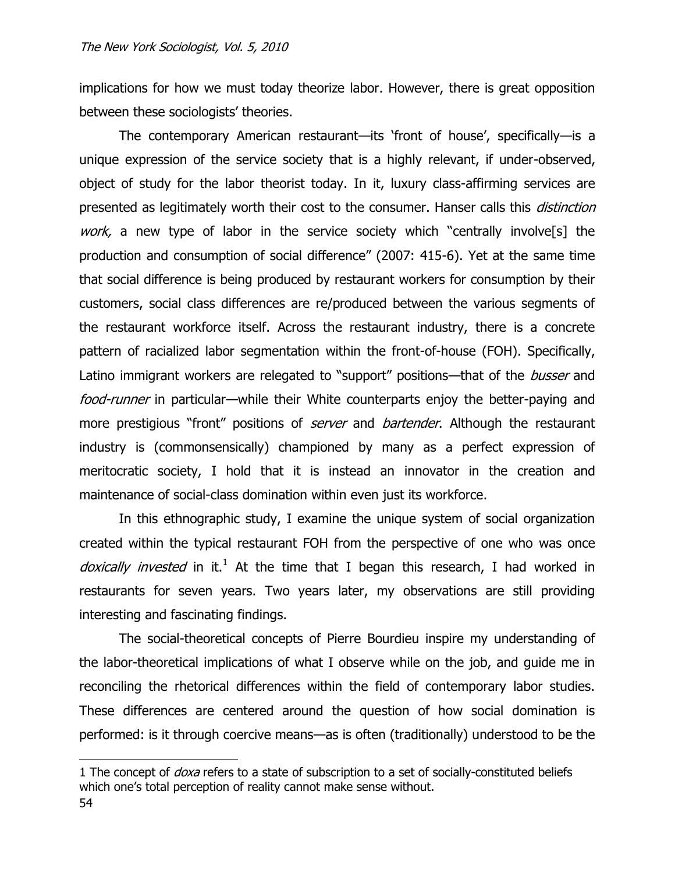implications for how we must today theorize labor. However, there is great opposition between these sociologists' theories.

The contemporary American restaurant—its "front of house", specifically—is a unique expression of the service society that is a highly relevant, if under-observed, object of study for the labor theorist today. In it, luxury class-affirming services are presented as legitimately worth their cost to the consumer. Hanser calls this *distinction* work, a new type of labor in the service society which "centrally involve<sup>[5]</sup> the production and consumption of social difference" (2007: 415-6). Yet at the same time that social difference is being produced by restaurant workers for consumption by their customers, social class differences are re/produced between the various segments of the restaurant workforce itself. Across the restaurant industry, there is a concrete pattern of racialized labor segmentation within the front-of-house (FOH). Specifically, Latino immigrant workers are relegated to "support" positions—that of the busser and food-runner in particular—while their White counterparts enjoy the better-paying and more prestigious "front" positions of *server* and *bartender*. Although the restaurant industry is (commonsensically) championed by many as a perfect expression of meritocratic society, I hold that it is instead an innovator in the creation and maintenance of social-class domination within even just its workforce.

In this ethnographic study, I examine the unique system of social organization created within the typical restaurant FOH from the perspective of one who was once doxically invested in it.<sup>1</sup> At the time that I began this research, I had worked in restaurants for seven years. Two years later, my observations are still providing interesting and fascinating findings.

The social-theoretical concepts of Pierre Bourdieu inspire my understanding of the labor-theoretical implications of what I observe while on the job, and guide me in reconciling the rhetorical differences within the field of contemporary labor studies. These differences are centered around the question of how social domination is performed: is it through coercive means—as is often (traditionally) understood to be the

<sup>1</sup> The concept of *doxa* refers to a state of subscription to a set of socially-constituted beliefs which one's total perception of reality cannot make sense without.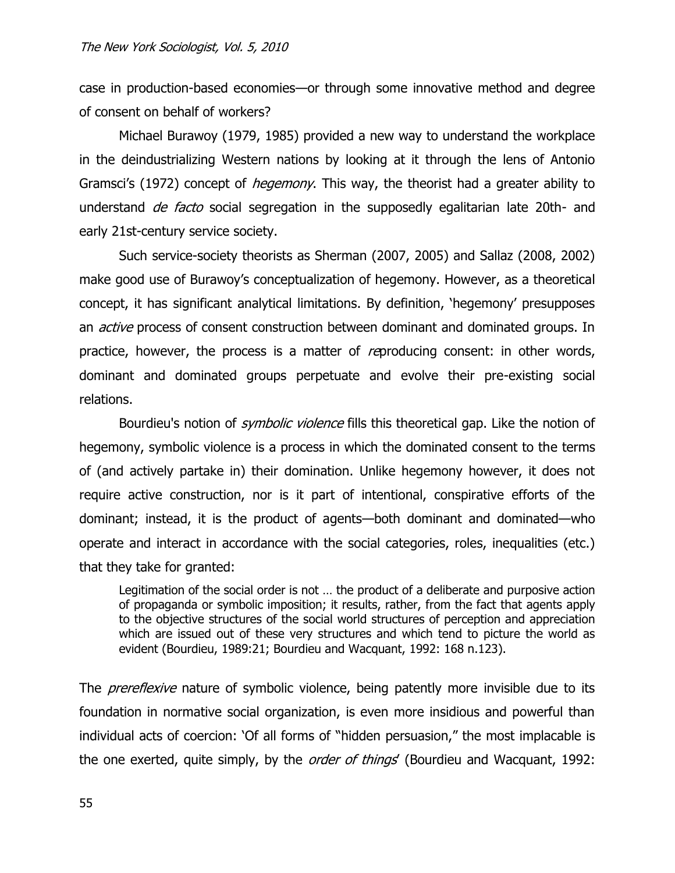case in production-based economies—or through some innovative method and degree of consent on behalf of workers?

Michael Burawoy (1979, 1985) provided a new way to understand the workplace in the deindustrializing Western nations by looking at it through the lens of Antonio Gramsci's (1972) concept of *hegemony*. This way, the theorist had a greater ability to understand *de facto* social segregation in the supposedly egalitarian late 20th- and early 21st-century service society.

Such service-society theorists as Sherman (2007, 2005) and Sallaz (2008, 2002) make good use of Burawoy"s conceptualization of hegemony. However, as a theoretical concept, it has significant analytical limitations. By definition, "hegemony" presupposes an *active* process of consent construction between dominant and dominated groups. In practice, however, the process is a matter of *re*producing consent: in other words, dominant and dominated groups perpetuate and evolve their pre-existing social relations.

Bourdieu's notion of *symbolic violence* fills this theoretical gap. Like the notion of hegemony, symbolic violence is a process in which the dominated consent to the terms of (and actively partake in) their domination. Unlike hegemony however, it does not require active construction, nor is it part of intentional, conspirative efforts of the dominant; instead, it is the product of agents—both dominant and dominated—who operate and interact in accordance with the social categories, roles, inequalities (etc.) that they take for granted:

Legitimation of the social order is not … the product of a deliberate and purposive action of propaganda or symbolic imposition; it results, rather, from the fact that agents apply to the objective structures of the social world structures of perception and appreciation which are issued out of these very structures and which tend to picture the world as evident (Bourdieu, 1989:21; Bourdieu and Wacquant, 1992: 168 n.123).

The *prereflexive* nature of symbolic violence, being patently more invisible due to its foundation in normative social organization, is even more insidious and powerful than individual acts of coercion: "Of all forms of "hidden persuasion," the most implacable is the one exerted, quite simply, by the *order of things* (Bourdieu and Wacquant, 1992: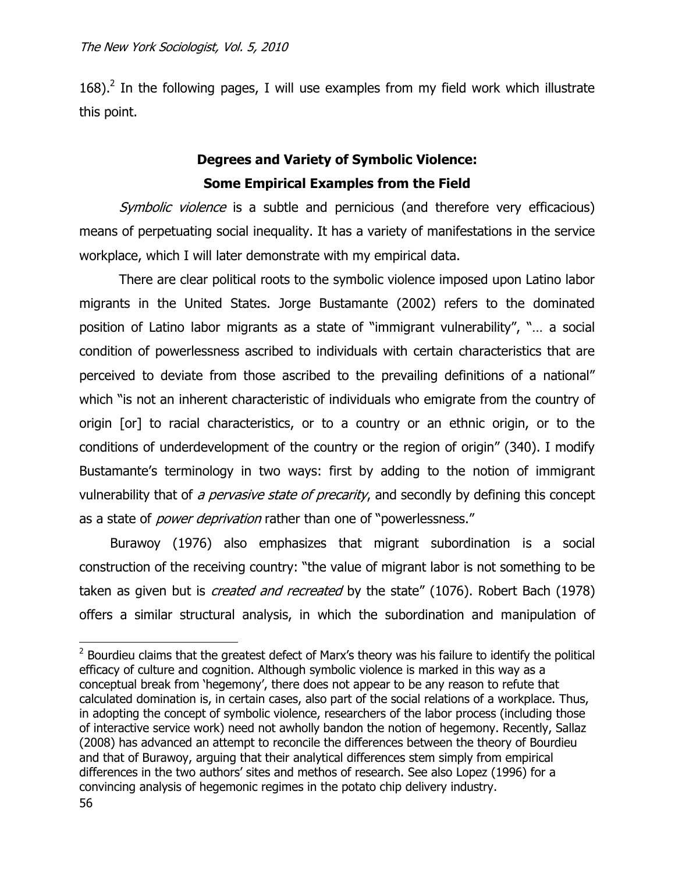168). $^2$  In the following pages, I will use examples from my field work which illustrate this point.

# **Degrees and Variety of Symbolic Violence: Some Empirical Examples from the Field**

Symbolic violence is a subtle and pernicious (and therefore very efficacious) means of perpetuating social inequality. It has a variety of manifestations in the service workplace, which I will later demonstrate with my empirical data.

There are clear political roots to the symbolic violence imposed upon Latino labor migrants in the United States. Jorge Bustamante (2002) refers to the dominated position of Latino labor migrants as a state of "immigrant vulnerability", "… a social condition of powerlessness ascribed to individuals with certain characteristics that are perceived to deviate from those ascribed to the prevailing definitions of a national" which "is not an inherent characteristic of individuals who emigrate from the country of origin [or] to racial characteristics, or to a country or an ethnic origin, or to the conditions of underdevelopment of the country or the region of origin" (340). I modify Bustamante's terminology in two ways: first by adding to the notion of immigrant vulnerability that of a pervasive state of precarity, and secondly by defining this concept as a state of *power deprivation* rather than one of "powerlessness."

Burawoy (1976) also emphasizes that migrant subordination is a social construction of the receiving country: "the value of migrant labor is not something to be taken as given but is *created and recreated* by the state" (1076). Robert Bach (1978) offers a similar structural analysis, in which the subordination and manipulation of

 $2$  Bourdieu claims that the greatest defect of Marx's theory was his failure to identify the political efficacy of culture and cognition. Although symbolic violence is marked in this way as a conceptual break from "hegemony", there does not appear to be any reason to refute that calculated domination is, in certain cases, also part of the social relations of a workplace. Thus, in adopting the concept of symbolic violence, researchers of the labor process (including those of interactive service work) need not awholly bandon the notion of hegemony. Recently, Sallaz (2008) has advanced an attempt to reconcile the differences between the theory of Bourdieu and that of Burawoy, arguing that their analytical differences stem simply from empirical differences in the two authors" sites and methos of research. See also Lopez (1996) for a convincing analysis of hegemonic regimes in the potato chip delivery industry.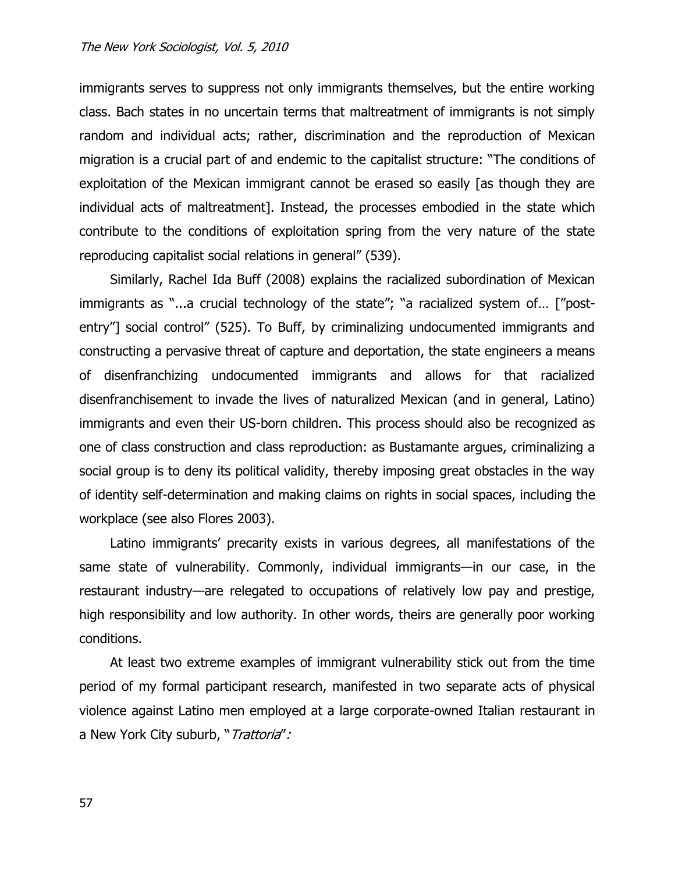immigrants serves to suppress not only immigrants themselves, but the entire working class. Bach states in no uncertain terms that maltreatment of immigrants is not simply random and individual acts; rather, discrimination and the reproduction of Mexican migration is a crucial part of and endemic to the capitalist structure: "The conditions of exploitation of the Mexican immigrant cannot be erased so easily [as though they are individual acts of maltreatment]. Instead, the processes embodied in the state which contribute to the conditions of exploitation spring from the very nature of the state reproducing capitalist social relations in general" (539).

Similarly, Rachel Ida Buff (2008) explains the racialized subordination of Mexican immigrants as "...a crucial technology of the state"; "a racialized system of… ["postentry"] social control" (525). To Buff, by criminalizing undocumented immigrants and constructing a pervasive threat of capture and deportation, the state engineers a means of disenfranchizing undocumented immigrants and allows for that racialized disenfranchisement to invade the lives of naturalized Mexican (and in general, Latino) immigrants and even their US-born children. This process should also be recognized as one of class construction and class reproduction: as Bustamante argues, criminalizing a social group is to deny its political validity, thereby imposing great obstacles in the way of identity self-determination and making claims on rights in social spaces, including the workplace (see also Flores 2003).

Latino immigrants' precarity exists in various degrees, all manifestations of the same state of vulnerability. Commonly, individual immigrants—in our case, in the restaurant industry—are relegated to occupations of relatively low pay and prestige, high responsibility and low authority. In other words, theirs are generally poor working conditions.

At least two extreme examples of immigrant vulnerability stick out from the time period of my formal participant research, manifested in two separate acts of physical violence against Latino men employed at a large corporate-owned Italian restaurant in a New York City suburb, "Trattoria":

57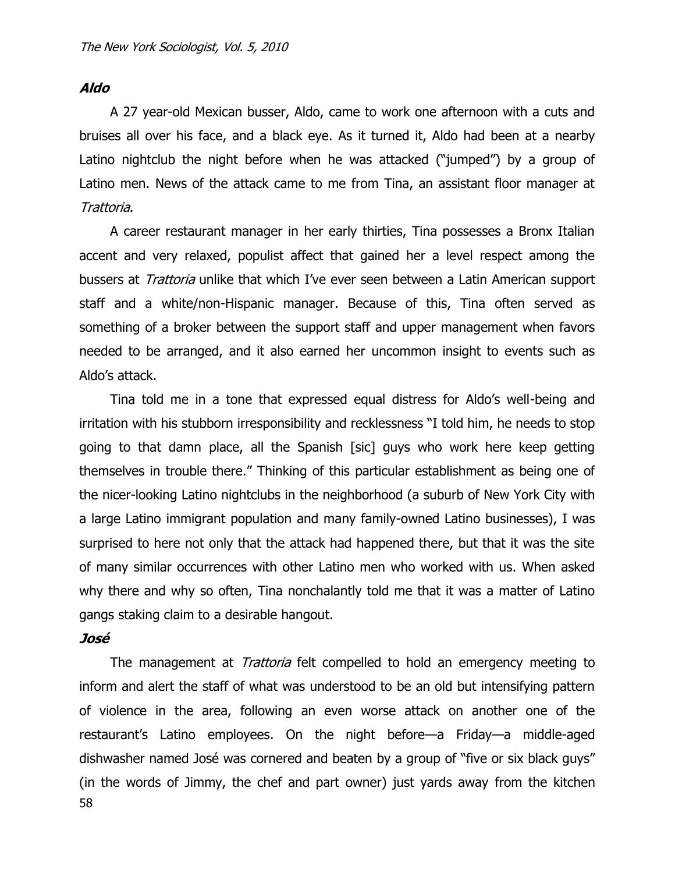# **Aldo**

A 27 year-old Mexican busser, Aldo, came to work one afternoon with a cuts and bruises all over his face, and a black eye. As it turned it, Aldo had been at a nearby Latino nightclub the night before when he was attacked ("jumped") by a group of Latino men. News of the attack came to me from Tina, an assistant floor manager at Trattoria.

A career restaurant manager in her early thirties, Tina possesses a Bronx Italian accent and very relaxed, populist affect that gained her a level respect among the bussers at *Trattoria* unlike that which I've ever seen between a Latin American support staff and a white/non-Hispanic manager. Because of this, Tina often served as something of a broker between the support staff and upper management when favors needed to be arranged, and it also earned her uncommon insight to events such as Aldo"s attack.

Tina told me in a tone that expressed equal distress for Aldo"s well-being and irritation with his stubborn irresponsibility and recklessness "I told him, he needs to stop going to that damn place, all the Spanish [sic] guys who work here keep getting themselves in trouble there." Thinking of this particular establishment as being one of the nicer-looking Latino nightclubs in the neighborhood (a suburb of New York City with a large Latino immigrant population and many family-owned Latino businesses), I was surprised to here not only that the attack had happened there, but that it was the site of many similar occurrences with other Latino men who worked with us. When asked why there and why so often, Tina nonchalantly told me that it was a matter of Latino gangs staking claim to a desirable hangout.

## **José**

58 The management at *Trattoria* felt compelled to hold an emergency meeting to inform and alert the staff of what was understood to be an old but intensifying pattern of violence in the area, following an even worse attack on another one of the restaurant"s Latino employees. On the night before—a Friday—a middle-aged dishwasher named José was cornered and beaten by a group of "five or six black guys" (in the words of Jimmy, the chef and part owner) just yards away from the kitchen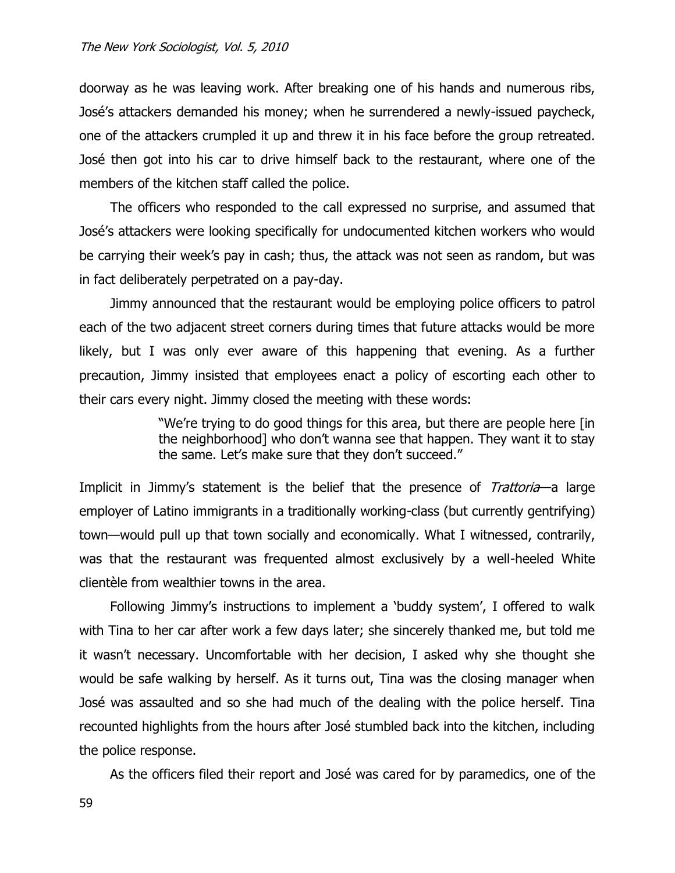doorway as he was leaving work. After breaking one of his hands and numerous ribs, José"s attackers demanded his money; when he surrendered a newly-issued paycheck, one of the attackers crumpled it up and threw it in his face before the group retreated. José then got into his car to drive himself back to the restaurant, where one of the members of the kitchen staff called the police.

The officers who responded to the call expressed no surprise, and assumed that José"s attackers were looking specifically for undocumented kitchen workers who would be carrying their week"s pay in cash; thus, the attack was not seen as random, but was in fact deliberately perpetrated on a pay-day.

Jimmy announced that the restaurant would be employing police officers to patrol each of the two adjacent street corners during times that future attacks would be more likely, but I was only ever aware of this happening that evening. As a further precaution, Jimmy insisted that employees enact a policy of escorting each other to their cars every night. Jimmy closed the meeting with these words:

> "We"re trying to do good things for this area, but there are people here [in the neighborhood] who don"t wanna see that happen. They want it to stay the same. Let's make sure that they don't succeed."

Implicit in Jimmy's statement is the belief that the presence of Trattoria-a large employer of Latino immigrants in a traditionally working-class (but currently gentrifying) town—would pull up that town socially and economically. What I witnessed, contrarily, was that the restaurant was frequented almost exclusively by a well-heeled White clientèle from wealthier towns in the area.

Following Jimmy's instructions to implement a 'buddy system', I offered to walk with Tina to her car after work a few days later; she sincerely thanked me, but told me it wasn"t necessary. Uncomfortable with her decision, I asked why she thought she would be safe walking by herself. As it turns out, Tina was the closing manager when José was assaulted and so she had much of the dealing with the police herself. Tina recounted highlights from the hours after José stumbled back into the kitchen, including the police response.

As the officers filed their report and José was cared for by paramedics, one of the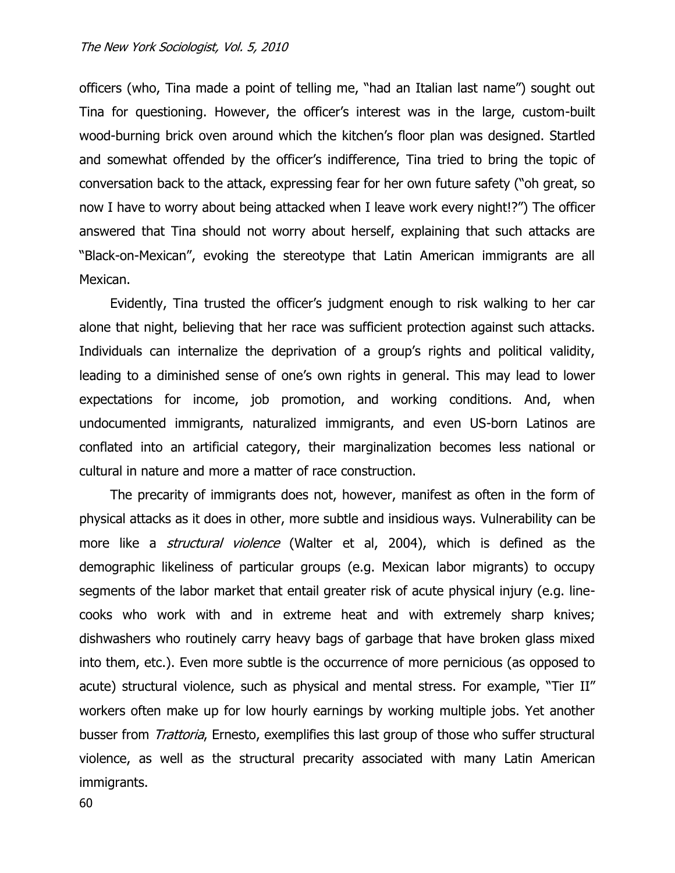officers (who, Tina made a point of telling me, "had an Italian last name") sought out Tina for questioning. However, the officer"s interest was in the large, custom-built wood-burning brick oven around which the kitchen's floor plan was designed. Startled and somewhat offended by the officer's indifference, Tina tried to bring the topic of conversation back to the attack, expressing fear for her own future safety ("oh great, so now I have to worry about being attacked when I leave work every night!?") The officer answered that Tina should not worry about herself, explaining that such attacks are "Black-on-Mexican", evoking the stereotype that Latin American immigrants are all Mexican.

Evidently, Tina trusted the officer"s judgment enough to risk walking to her car alone that night, believing that her race was sufficient protection against such attacks. Individuals can internalize the deprivation of a group"s rights and political validity, leading to a diminished sense of one"s own rights in general. This may lead to lower expectations for income, job promotion, and working conditions. And, when undocumented immigrants, naturalized immigrants, and even US-born Latinos are conflated into an artificial category, their marginalization becomes less national or cultural in nature and more a matter of race construction.

The precarity of immigrants does not, however, manifest as often in the form of physical attacks as it does in other, more subtle and insidious ways. Vulnerability can be more like a *structural violence* (Walter et al, 2004), which is defined as the demographic likeliness of particular groups (e.g. Mexican labor migrants) to occupy segments of the labor market that entail greater risk of acute physical injury (e.g. linecooks who work with and in extreme heat and with extremely sharp knives; dishwashers who routinely carry heavy bags of garbage that have broken glass mixed into them, etc.). Even more subtle is the occurrence of more pernicious (as opposed to acute) structural violence, such as physical and mental stress. For example, "Tier II" workers often make up for low hourly earnings by working multiple jobs. Yet another busser from *Trattoria*, Ernesto, exemplifies this last group of those who suffer structural violence, as well as the structural precarity associated with many Latin American immigrants.

60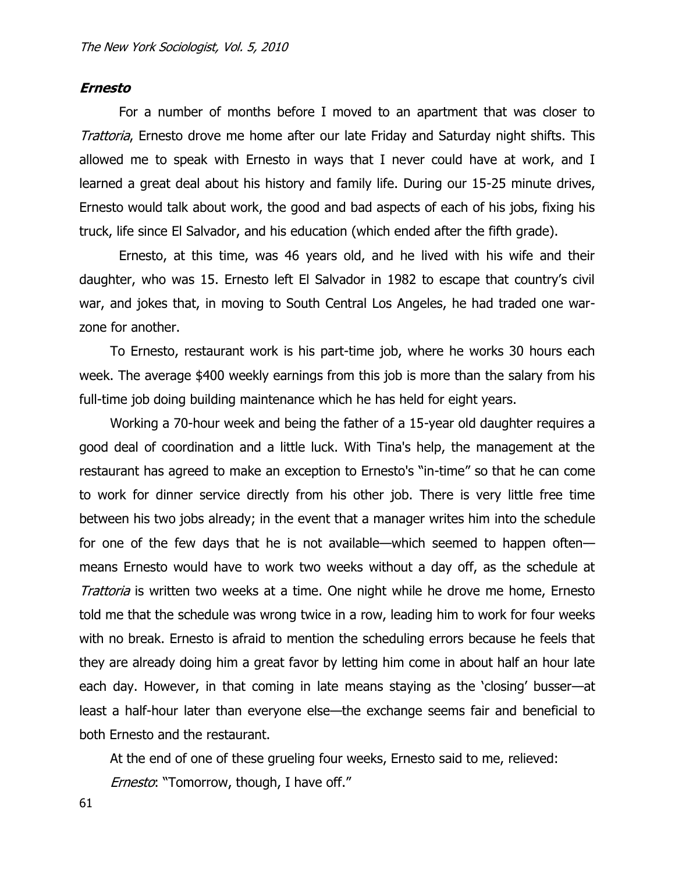#### **Ernesto**

For a number of months before I moved to an apartment that was closer to Trattoria, Ernesto drove me home after our late Friday and Saturday night shifts. This allowed me to speak with Ernesto in ways that I never could have at work, and I learned a great deal about his history and family life. During our 15-25 minute drives, Ernesto would talk about work, the good and bad aspects of each of his jobs, fixing his truck, life since El Salvador, and his education (which ended after the fifth grade).

Ernesto, at this time, was 46 years old, and he lived with his wife and their daughter, who was 15. Ernesto left El Salvador in 1982 to escape that country"s civil war, and jokes that, in moving to South Central Los Angeles, he had traded one warzone for another.

To Ernesto, restaurant work is his part-time job, where he works 30 hours each week. The average \$400 weekly earnings from this job is more than the salary from his full-time job doing building maintenance which he has held for eight years.

Working a 70-hour week and being the father of a 15-year old daughter requires a good deal of coordination and a little luck. With Tina's help, the management at the restaurant has agreed to make an exception to Ernesto's "in-time" so that he can come to work for dinner service directly from his other job. There is very little free time between his two jobs already; in the event that a manager writes him into the schedule for one of the few days that he is not available—which seemed to happen often means Ernesto would have to work two weeks without a day off, as the schedule at Trattoria is written two weeks at a time. One night while he drove me home, Ernesto told me that the schedule was wrong twice in a row, leading him to work for four weeks with no break. Ernesto is afraid to mention the scheduling errors because he feels that they are already doing him a great favor by letting him come in about half an hour late each day. However, in that coming in late means staying as the "closing" busser—at least a half-hour later than everyone else—the exchange seems fair and beneficial to both Ernesto and the restaurant.

At the end of one of these grueling four weeks, Ernesto said to me, relieved:

Ernesto: "Tomorrow, though, I have off."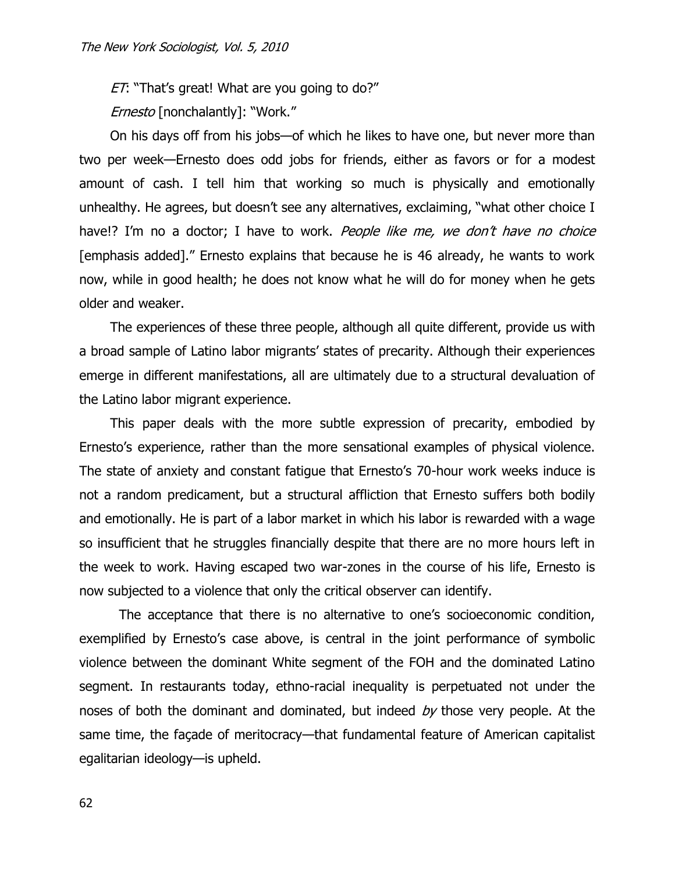ET: "That's great! What are you going to do?"

Ernesto [nonchalantly]: "Work."

On his days off from his jobs—of which he likes to have one, but never more than two per week—Ernesto does odd jobs for friends, either as favors or for a modest amount of cash. I tell him that working so much is physically and emotionally unhealthy. He agrees, but doesn't see any alternatives, exclaiming, "what other choice I have!? I'm no a doctor; I have to work. People like me, we don't have no choice [emphasis added]." Ernesto explains that because he is 46 already, he wants to work now, while in good health; he does not know what he will do for money when he gets older and weaker.

The experiences of these three people, although all quite different, provide us with a broad sample of Latino labor migrants' states of precarity. Although their experiences emerge in different manifestations, all are ultimately due to a structural devaluation of the Latino labor migrant experience.

This paper deals with the more subtle expression of precarity, embodied by Ernesto"s experience, rather than the more sensational examples of physical violence. The state of anxiety and constant fatigue that Ernesto's 70-hour work weeks induce is not a random predicament, but a structural affliction that Ernesto suffers both bodily and emotionally. He is part of a labor market in which his labor is rewarded with a wage so insufficient that he struggles financially despite that there are no more hours left in the week to work. Having escaped two war-zones in the course of his life, Ernesto is now subjected to a violence that only the critical observer can identify.

The acceptance that there is no alternative to one"s socioeconomic condition, exemplified by Ernesto's case above, is central in the joint performance of symbolic violence between the dominant White segment of the FOH and the dominated Latino segment. In restaurants today, ethno-racial inequality is perpetuated not under the noses of both the dominant and dominated, but indeed  $by$  those very people. At the same time, the façade of meritocracy—that fundamental feature of American capitalist egalitarian ideology—is upheld.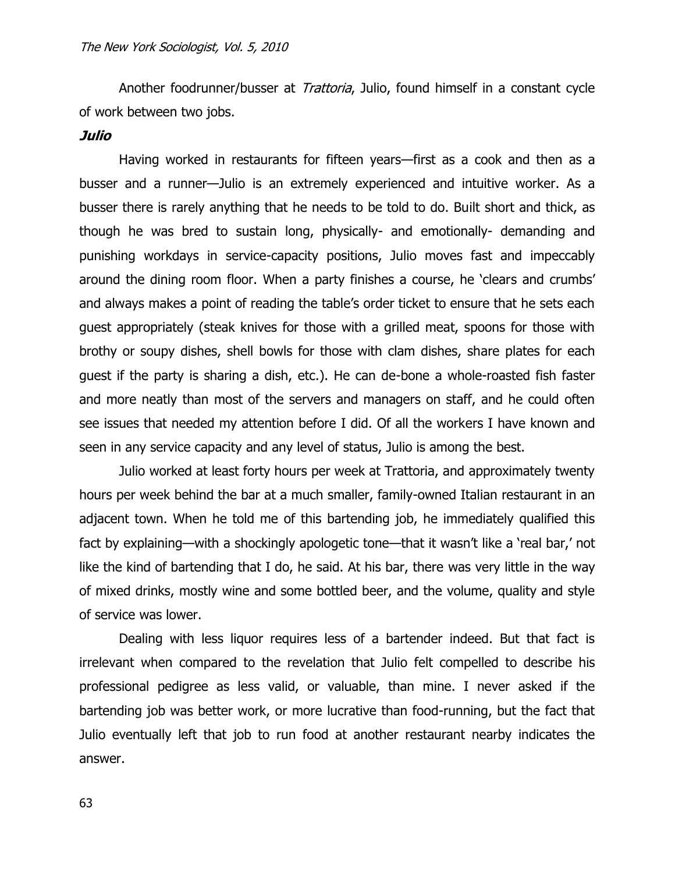Another foodrunner/busser at *Trattoria*, Julio, found himself in a constant cycle of work between two jobs.

## **Julio**

Having worked in restaurants for fifteen years—first as a cook and then as a busser and a runner—Julio is an extremely experienced and intuitive worker. As a busser there is rarely anything that he needs to be told to do. Built short and thick, as though he was bred to sustain long, physically- and emotionally- demanding and punishing workdays in service-capacity positions, Julio moves fast and impeccably around the dining room floor. When a party finishes a course, he "clears and crumbs" and always makes a point of reading the table"s order ticket to ensure that he sets each guest appropriately (steak knives for those with a grilled meat, spoons for those with brothy or soupy dishes, shell bowls for those with clam dishes, share plates for each guest if the party is sharing a dish, etc.). He can de-bone a whole-roasted fish faster and more neatly than most of the servers and managers on staff, and he could often see issues that needed my attention before I did. Of all the workers I have known and seen in any service capacity and any level of status, Julio is among the best.

Julio worked at least forty hours per week at Trattoria, and approximately twenty hours per week behind the bar at a much smaller, family-owned Italian restaurant in an adjacent town. When he told me of this bartending job, he immediately qualified this fact by explaining—with a shockingly apologetic tone—that it wasn't like a 'real bar,' not like the kind of bartending that I do, he said. At his bar, there was very little in the way of mixed drinks, mostly wine and some bottled beer, and the volume, quality and style of service was lower.

Dealing with less liquor requires less of a bartender indeed. But that fact is irrelevant when compared to the revelation that Julio felt compelled to describe his professional pedigree as less valid, or valuable, than mine. I never asked if the bartending job was better work, or more lucrative than food-running, but the fact that Julio eventually left that job to run food at another restaurant nearby indicates the answer.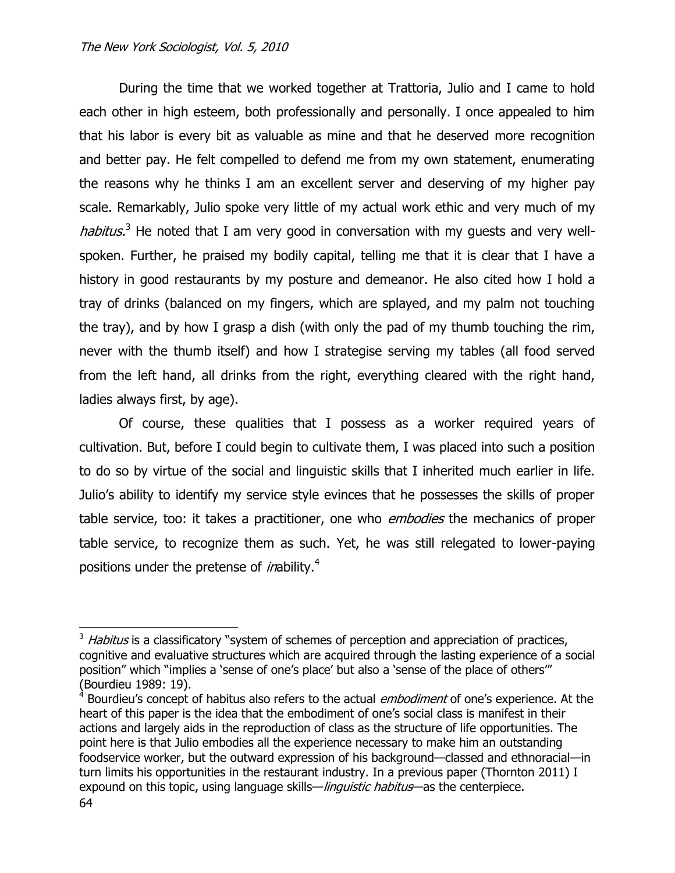During the time that we worked together at Trattoria, Julio and I came to hold each other in high esteem, both professionally and personally. I once appealed to him that his labor is every bit as valuable as mine and that he deserved more recognition and better pay. He felt compelled to defend me from my own statement, enumerating the reasons why he thinks I am an excellent server and deserving of my higher pay scale. Remarkably, Julio spoke very little of my actual work ethic and very much of my habitus.<sup>3</sup> He noted that I am very good in conversation with my guests and very wellspoken. Further, he praised my bodily capital, telling me that it is clear that I have a history in good restaurants by my posture and demeanor. He also cited how I hold a tray of drinks (balanced on my fingers, which are splayed, and my palm not touching the tray), and by how I grasp a dish (with only the pad of my thumb touching the rim, never with the thumb itself) and how I strategise serving my tables (all food served from the left hand, all drinks from the right, everything cleared with the right hand, ladies always first, by age).

Of course, these qualities that I possess as a worker required years of cultivation. But, before I could begin to cultivate them, I was placed into such a position to do so by virtue of the social and linguistic skills that I inherited much earlier in life. Julio"s ability to identify my service style evinces that he possesses the skills of proper table service, too: it takes a practitioner, one who *embodies* the mechanics of proper table service, to recognize them as such. Yet, he was still relegated to lower-paying positions under the pretense of *in*ability.<sup>4</sup>

 $3$  Habitus is a classificatory "system of schemes of perception and appreciation of practices, cognitive and evaluative structures which are acquired through the lasting experience of a social position" which "implies a "sense of one"s place" but also a "sense of the place of others"" (Bourdieu 1989: 19).

<sup>&</sup>lt;sup>4</sup> Bourdieu's concept of habitus also refers to the actual *embodiment* of one's experience. At the heart of this paper is the idea that the embodiment of one's social class is manifest in their actions and largely aids in the reproduction of class as the structure of life opportunities. The point here is that Julio embodies all the experience necessary to make him an outstanding foodservice worker, but the outward expression of his background—classed and ethnoracial—in turn limits his opportunities in the restaurant industry. In a previous paper (Thornton 2011) I expound on this topic, using language skills—*linguistic habitus*—as the centerpiece.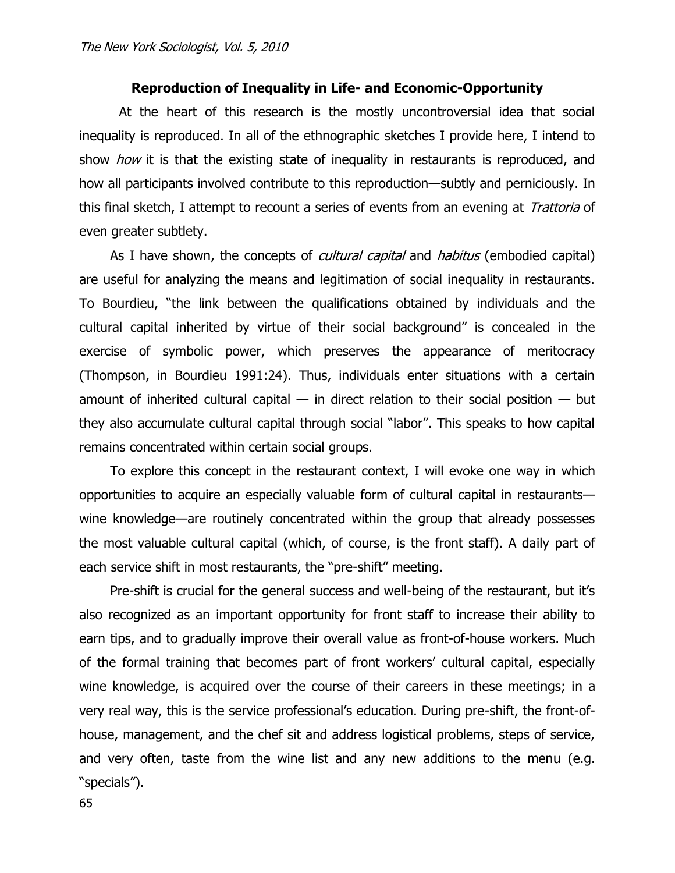## **Reproduction of Inequality in Life- and Economic-Opportunity**

At the heart of this research is the mostly uncontroversial idea that social inequality is reproduced. In all of the ethnographic sketches I provide here, I intend to show *how* it is that the existing state of inequality in restaurants is reproduced, and how all participants involved contribute to this reproduction—subtly and perniciously. In this final sketch, I attempt to recount a series of events from an evening at Trattoria of even greater subtlety.

As I have shown, the concepts of *cultural capital* and *habitus* (embodied capital) are useful for analyzing the means and legitimation of social inequality in restaurants. To Bourdieu, "the link between the qualifications obtained by individuals and the cultural capital inherited by virtue of their social background" is concealed in the exercise of symbolic power, which preserves the appearance of meritocracy (Thompson, in Bourdieu 1991:24). Thus, individuals enter situations with a certain amount of inherited cultural capital  $-$  in direct relation to their social position  $-$  but they also accumulate cultural capital through social "labor". This speaks to how capital remains concentrated within certain social groups.

To explore this concept in the restaurant context, I will evoke one way in which opportunities to acquire an especially valuable form of cultural capital in restaurants wine knowledge—are routinely concentrated within the group that already possesses the most valuable cultural capital (which, of course, is the front staff). A daily part of each service shift in most restaurants, the "pre-shift" meeting.

Pre-shift is crucial for the general success and well-being of the restaurant, but it"s also recognized as an important opportunity for front staff to increase their ability to earn tips, and to gradually improve their overall value as front-of-house workers. Much of the formal training that becomes part of front workers' cultural capital, especially wine knowledge, is acquired over the course of their careers in these meetings; in a very real way, this is the service professional"s education. During pre-shift, the front-ofhouse, management, and the chef sit and address logistical problems, steps of service, and very often, taste from the wine list and any new additions to the menu (e.g. "specials").

65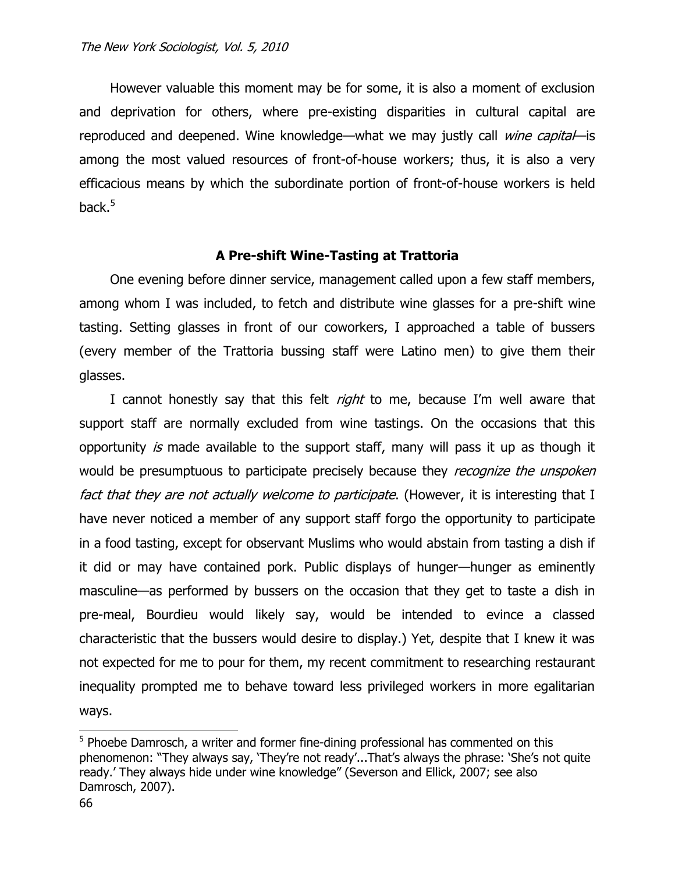However valuable this moment may be for some, it is also a moment of exclusion and deprivation for others, where pre-existing disparities in cultural capital are reproduced and deepened. Wine knowledge—what we may justly call *wine capital*—is among the most valued resources of front-of-house workers; thus, it is also a very efficacious means by which the subordinate portion of front-of-house workers is held back. $5$ 

# **A Pre-shift Wine-Tasting at Trattoria**

One evening before dinner service, management called upon a few staff members, among whom I was included, to fetch and distribute wine glasses for a pre-shift wine tasting. Setting glasses in front of our coworkers, I approached a table of bussers (every member of the Trattoria bussing staff were Latino men) to give them their glasses.

I cannot honestly say that this felt *right* to me, because I'm well aware that support staff are normally excluded from wine tastings. On the occasions that this opportunity is made available to the support staff, many will pass it up as though it would be presumptuous to participate precisely because they *recognize the unspoken* fact that they are not actually welcome to participate. (However, it is interesting that I have never noticed a member of any support staff forgo the opportunity to participate in a food tasting, except for observant Muslims who would abstain from tasting a dish if it did or may have contained pork. Public displays of hunger—hunger as eminently masculine—as performed by bussers on the occasion that they get to taste a dish in pre-meal, Bourdieu would likely say, would be intended to evince a classed characteristic that the bussers would desire to display.) Yet, despite that I knew it was not expected for me to pour for them, my recent commitment to researching restaurant inequality prompted me to behave toward less privileged workers in more egalitarian ways.

<sup>&</sup>lt;sup>5</sup> Phoebe Damrosch, a writer and former fine-dining professional has commented on this phenomenon: "They always say, 'They're not ready'...That's always the phrase: 'She's not quite ready." They always hide under wine knowledge" (Severson and Ellick, 2007; see also Damrosch, 2007).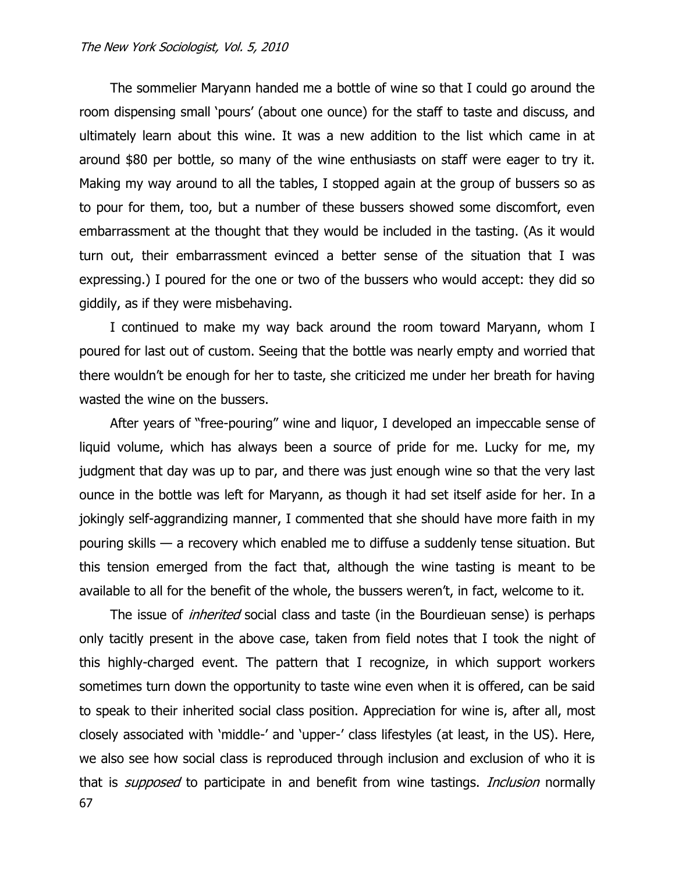The sommelier Maryann handed me a bottle of wine so that I could go around the room dispensing small "pours" (about one ounce) for the staff to taste and discuss, and ultimately learn about this wine. It was a new addition to the list which came in at around \$80 per bottle, so many of the wine enthusiasts on staff were eager to try it. Making my way around to all the tables, I stopped again at the group of bussers so as to pour for them, too, but a number of these bussers showed some discomfort, even embarrassment at the thought that they would be included in the tasting. (As it would turn out, their embarrassment evinced a better sense of the situation that I was expressing.) I poured for the one or two of the bussers who would accept: they did so giddily, as if they were misbehaving.

I continued to make my way back around the room toward Maryann, whom I poured for last out of custom. Seeing that the bottle was nearly empty and worried that there wouldn"t be enough for her to taste, she criticized me under her breath for having wasted the wine on the bussers.

After years of "free-pouring" wine and liquor, I developed an impeccable sense of liquid volume, which has always been a source of pride for me. Lucky for me, my judgment that day was up to par, and there was just enough wine so that the very last ounce in the bottle was left for Maryann, as though it had set itself aside for her. In a jokingly self-aggrandizing manner, I commented that she should have more faith in my pouring skills — a recovery which enabled me to diffuse a suddenly tense situation. But this tension emerged from the fact that, although the wine tasting is meant to be available to all for the benefit of the whole, the bussers weren't, in fact, welcome to it.

67 The issue of *inherited* social class and taste (in the Bourdieuan sense) is perhaps only tacitly present in the above case, taken from field notes that I took the night of this highly-charged event. The pattern that I recognize, in which support workers sometimes turn down the opportunity to taste wine even when it is offered, can be said to speak to their inherited social class position. Appreciation for wine is, after all, most closely associated with "middle-" and "upper-" class lifestyles (at least, in the US). Here, we also see how social class is reproduced through inclusion and exclusion of who it is that is *supposed* to participate in and benefit from wine tastings. *Inclusion* normally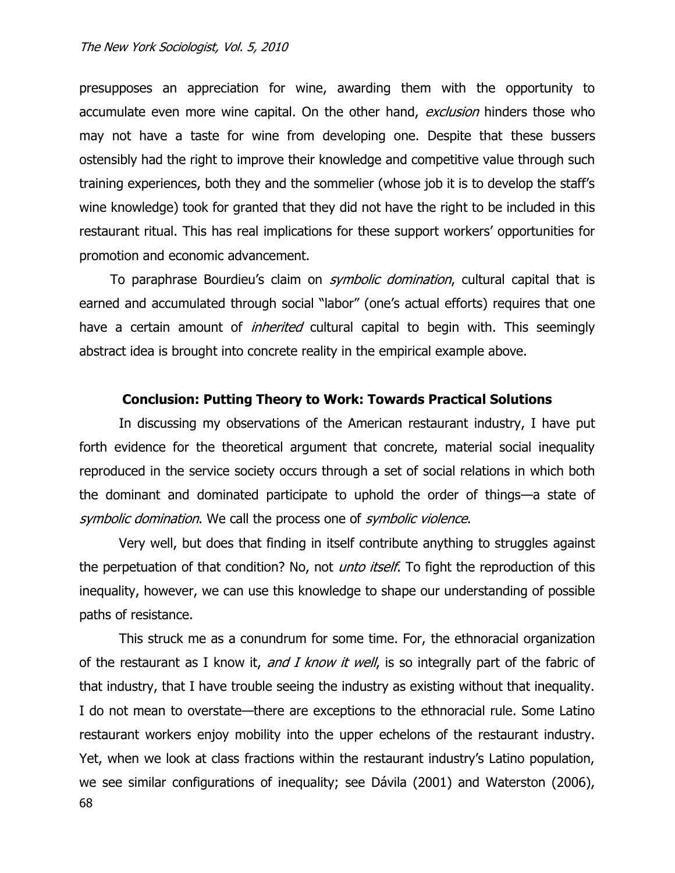presupposes an appreciation for wine, awarding them with the opportunity to accumulate even more wine capital. On the other hand, exclusion hinders those who may not have a taste for wine from developing one. Despite that these bussers ostensibly had the right to improve their knowledge and competitive value through such training experiences, both they and the sommelier (whose job it is to develop the staff"s wine knowledge) took for granted that they did not have the right to be included in this restaurant ritual. This has real implications for these support workers" opportunities for promotion and economic advancement.

To paraphrase Bourdieu's claim on *symbolic domination*, cultural capital that is earned and accumulated through social "labor" (one"s actual efforts) requires that one have a certain amount of *inherited* cultural capital to begin with. This seemingly abstract idea is brought into concrete reality in the empirical example above.

### **Conclusion: Putting Theory to Work: Towards Practical Solutions**

In discussing my observations of the American restaurant industry, I have put forth evidence for the theoretical argument that concrete, material social inequality reproduced in the service society occurs through a set of social relations in which both the dominant and dominated participate to uphold the order of things—a state of symbolic domination. We call the process one of symbolic violence.

Very well, but does that finding in itself contribute anything to struggles against the perpetuation of that condition? No, not *unto itself*. To fight the reproduction of this inequality, however, we can use this knowledge to shape our understanding of possible paths of resistance.

68 This struck me as a conundrum for some time. For, the ethnoracial organization of the restaurant as I know it, and I know it well, is so integrally part of the fabric of that industry, that I have trouble seeing the industry as existing without that inequality. I do not mean to overstate—there are exceptions to the ethnoracial rule. Some Latino restaurant workers enjoy mobility into the upper echelons of the restaurant industry. Yet, when we look at class fractions within the restaurant industry"s Latino population, we see similar configurations of inequality; see Dávila (2001) and Waterston (2006),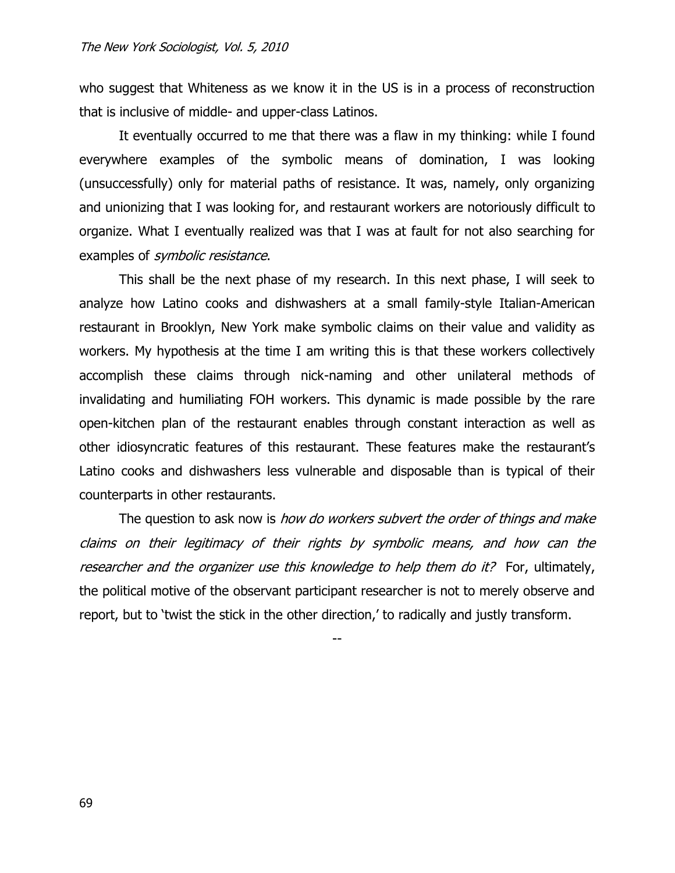who suggest that Whiteness as we know it in the US is in a process of reconstruction that is inclusive of middle- and upper-class Latinos.

It eventually occurred to me that there was a flaw in my thinking: while I found everywhere examples of the symbolic means of domination, I was looking (unsuccessfully) only for material paths of resistance. It was, namely, only organizing and unionizing that I was looking for, and restaurant workers are notoriously difficult to organize. What I eventually realized was that I was at fault for not also searching for examples of *symbolic resistance*.

This shall be the next phase of my research. In this next phase, I will seek to analyze how Latino cooks and dishwashers at a small family-style Italian-American restaurant in Brooklyn, New York make symbolic claims on their value and validity as workers. My hypothesis at the time I am writing this is that these workers collectively accomplish these claims through nick-naming and other unilateral methods of invalidating and humiliating FOH workers. This dynamic is made possible by the rare open-kitchen plan of the restaurant enables through constant interaction as well as other idiosyncratic features of this restaurant. These features make the restaurant"s Latino cooks and dishwashers less vulnerable and disposable than is typical of their counterparts in other restaurants.

The question to ask now is *how do workers subvert the order of things and make* claims on their legitimacy of their rights by symbolic means, and how can the researcher and the organizer use this knowledge to help them do it? For, ultimately, the political motive of the observant participant researcher is not to merely observe and report, but to 'twist the stick in the other direction,' to radically and justly transform.

--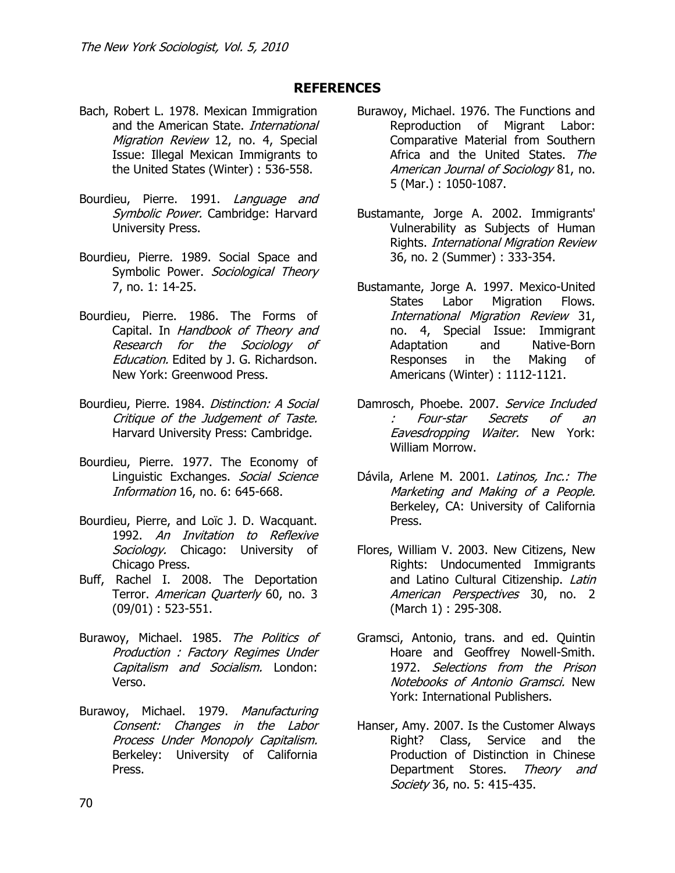# **REFERENCES**

- Bach, Robert L. 1978. Mexican Immigration and the American State. International Migration Review 12, no. 4, Special Issue: Illegal Mexican Immigrants to the United States (Winter) : 536-558.
- Bourdieu, Pierre. 1991. Language and Symbolic Power. Cambridge: Harvard University Press.
- Bourdieu, Pierre. 1989. Social Space and Symbolic Power. Sociological Theory 7, no. 1: 14-25.
- Bourdieu, Pierre. 1986. The Forms of Capital. In Handbook of Theory and Research for the Sociology of Education. Edited by J. G. Richardson. New York: Greenwood Press.
- Bourdieu, Pierre. 1984. Distinction: A Social Critique of the Judgement of Taste. Harvard University Press: Cambridge.
- Bourdieu, Pierre. 1977. The Economy of Linguistic Exchanges. Social Science Information 16, no. 6: 645-668.
- Bourdieu, Pierre, and Loïc J. D. Wacquant. 1992. An Invitation to Reflexive Sociology. Chicago: University of Chicago Press.
- Buff, Rachel I. 2008. The Deportation Terror. American Quarterly 60, no. 3 (09/01) : 523-551.
- Burawoy, Michael. 1985. The Politics of Production : Factory Regimes Under Capitalism and Socialism. London: Verso.
- Burawoy, Michael. 1979. Manufacturing Consent: Changes in the Labor Process Under Monopoly Capitalism. Berkeley: University of California Press.
- Burawoy, Michael. 1976. The Functions and Reproduction of Migrant Labor: Comparative Material from Southern Africa and the United States. The American Journal of Sociology 81, no. 5 (Mar.) : 1050-1087.
- Bustamante, Jorge A. 2002. Immigrants' Vulnerability as Subjects of Human Rights. International Migration Review 36, no. 2 (Summer) : 333-354.
- Bustamante, Jorge A. 1997. Mexico-United States Labor Migration Flows. International Migration Review 31, no. 4, Special Issue: Immigrant Adaptation and Native-Born Responses in the Making of Americans (Winter) : 1112-1121.
- Damrosch, Phoebe. 2007. Service Included : Four-star Secrets of an Eavesdropping Waiter. New York: William Morrow.
- Dávila, Arlene M. 2001. Latinos, Inc.: The Marketing and Making of a People. Berkeley, CA: University of California Press.
- Flores, William V. 2003. New Citizens, New Rights: Undocumented Immigrants and Latino Cultural Citizenship. Latin American Perspectives 30, no. 2 (March 1) : 295-308.
- Gramsci, Antonio, trans. and ed. Quintin Hoare and Geoffrey Nowell-Smith. 1972. Selections from the Prison Notebooks of Antonio Gramsci. New York: International Publishers.
- Hanser, Amy. 2007. Is the Customer Always Right? Class, Service and the Production of Distinction in Chinese Department Stores. Theory and Society 36, no. 5: 415-435.